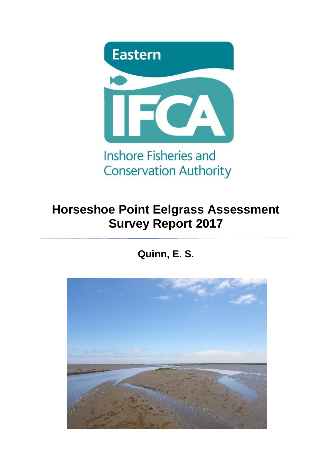

# **Horseshoe Point Eelgrass Assessment Survey Report 2017**

# **Quinn, E. S.**

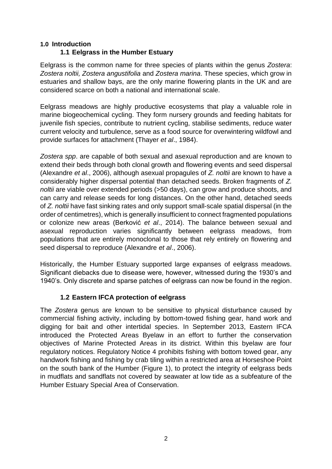### **1.0 Introduction**

## **1.1 Eelgrass in the Humber Estuary**

Eelgrass is the common name for three species of plants within the genus *Zostera*: *Zostera noltii, Zostera angustifolia* and *Zostera marina*. These species, which grow in estuaries and shallow bays, are the only marine flowering plants in the UK and are considered scarce on both a national and international scale.

Eelgrass meadows are highly productive ecosystems that play a valuable role in marine biogeochemical cycling. They form nursery grounds and feeding habitats for juvenile fish species, contribute to nutrient cycling, stabilise sediments, reduce water current velocity and turbulence, serve as a food source for overwintering wildfowl and provide surfaces for attachment (Thayer *et al*., 1984).

*Zostera spp*. are capable of both sexual and asexual reproduction and are known to extend their beds through both clonal growth and flowering events and seed dispersal (Alexandre *et al*., 2006), although asexual propagules of *Z. noltii* are known to have a considerably higher dispersal potential than detached seeds. Broken fragments of *Z. noltii* are viable over extended periods (>50 days), can grow and produce shoots, and can carry and release seeds for long distances. On the other hand, detached seeds of *Z. noltii* have fast sinking rates and only support small-scale spatial dispersal (in the order of centimetres), which is generally insufficient to connect fragmented populations or colonize new areas (Berković *et al*., 2014). The balance between sexual and asexual reproduction varies significantly between eelgrass meadows, from populations that are entirely monoclonal to those that rely entirely on flowering and seed dispersal to reproduce (Alexandre *et al*., 2006).

Historically, the Humber Estuary supported large expanses of eelgrass meadows. Significant diebacks due to disease were, however, witnessed during the 1930's and 1940's. Only discrete and sparse patches of eelgrass can now be found in the region.

## **1.2 Eastern IFCA protection of eelgrass**

The *Zostera* genus are known to be sensitive to physical disturbance caused by commercial fishing activity, including by bottom-towed fishing gear, hand work and digging for bait and other intertidal species. In September 2013, Eastern IFCA introduced the Protected Areas Byelaw in an effort to further the conservation objectives of Marine Protected Areas in its district. Within this byelaw are four regulatory notices. Regulatory Notice 4 prohibits fishing with bottom towed gear, any handwork fishing and fishing by crab tiling within a restricted area at Horseshoe Point on the south bank of the Humber (Figure 1), to protect the integrity of eelgrass beds in mudflats and sandflats not covered by seawater at low tide as a subfeature of the Humber Estuary Special Area of Conservation.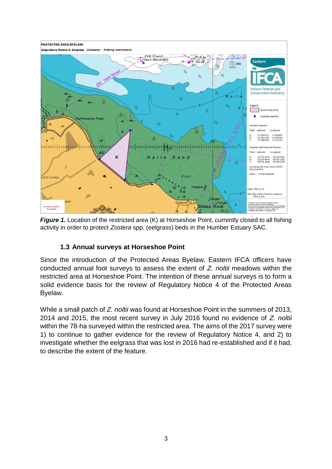

*Figure 1.* Location of the restricted area (K) at Horseshoe Point, currently closed to all fishing activity in order to protect *Zostera* spp. (eelgrass) beds in the Humber Estuary SAC.

## **1.3 Annual surveys at Horseshoe Point**

Since the introduction of the Protected Areas Byelaw, Eastern IFCA officers have conducted annual foot surveys to assess the extent of *Z. noltii* meadows within the restricted area at Horseshoe Point. The intention of these annual surveys is to form a solid evidence basis for the review of Regulatory Notice 4 of the Protected Areas Byelaw.

While a small patch of *Z. noltii* was found at Horseshoe Point in the summers of 2013, 2014 and 2015, the most recent survey in July 2016 found no evidence of *Z. noltii*  within the 78-ha surveyed within the restricted area. The aims of the 2017 survey were 1) to continue to gather evidence for the review of Regulatory Notice 4, and 2) to investigate whether the eelgrass that was lost in 2016 had re-established and if it had, to describe the extent of the feature.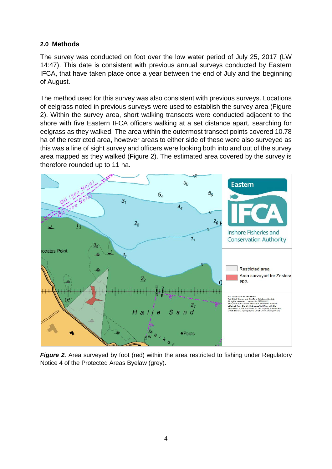## **2.0 Methods**

The survey was conducted on foot over the low water period of July 25, 2017 (LW 14:47). This date is consistent with previous annual surveys conducted by Eastern IFCA, that have taken place once a year between the end of July and the beginning of August.

The method used for this survey was also consistent with previous surveys. Locations of eelgrass noted in previous surveys were used to establish the survey area (Figure 2). Within the survey area, short walking transects were conducted adjacent to the shore with five Eastern IFCA officers walking at a set distance apart, searching for eelgrass as they walked. The area within the outermost transect points covered 10.78 ha of the restricted area, however areas to either side of these were also surveyed as this was a line of sight survey and officers were looking both into and out of the survey area mapped as they walked (Figure 2). The estimated area covered by the survey is therefore rounded up to 11 ha.



**Figure 2.** Area surveyed by foot (red) within the area restricted to fishing under Regulatory Notice 4 of the Protected Areas Byelaw (grey).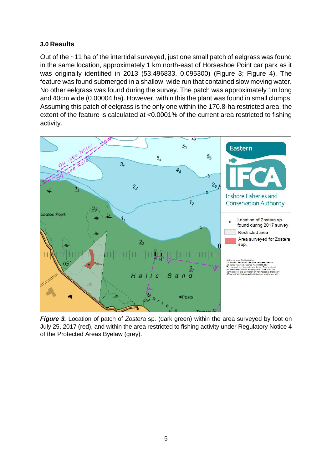## **3.0 Results**

Out of the ~11 ha of the intertidal surveyed, just one small patch of eelgrass was found in the same location, approximately 1 km north-east of Horseshoe Point car park as it was originally identified in 2013 (53.496833, 0.095300) (Figure 3; Figure 4). The feature was found submerged in a shallow, wide run that contained slow moving water. No other eelgrass was found during the survey. The patch was approximately 1m long and 40cm wide (0.00004 ha). However, within this the plant was found in small clumps. Assuming this patch of eelgrass is the only one within the 170.8-ha restricted area, the extent of the feature is calculated at <0.0001% of the current area restricted to fishing activity.



*Figure 3.* Location of patch of *Zostera* sp. (dark green) within the area surveyed by foot on July 25, 2017 (red), and within the area restricted to fishing activity under Regulatory Notice 4 of the Protected Areas Byelaw (grey).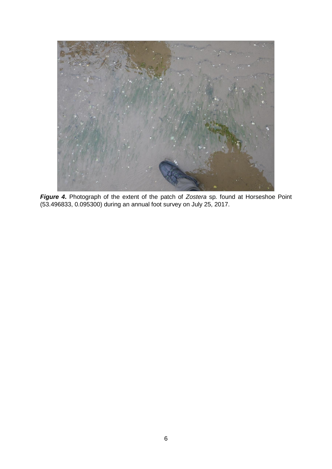

*Figure 4***.** Photograph of the extent of the patch of *Zostera* sp*.* found at Horseshoe Point (53.496833, 0.095300) during an annual foot survey on July 25, 2017.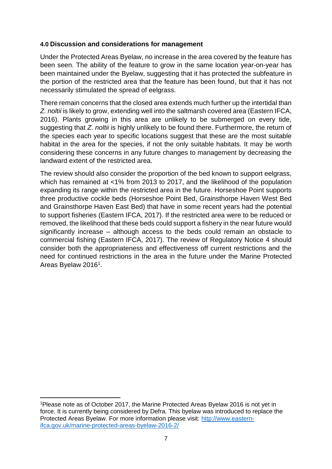### **4.0 Discussion and considerations for management**

Under the Protected Areas Byelaw, no increase in the area covered by the feature has been seen. The ability of the feature to grow in the same location year-on-year has been maintained under the Byelaw, suggesting that it has protected the subfeature in the portion of the restricted area that the feature has been found, but that it has not necessarily stimulated the spread of eelgrass.

There remain concerns that the closed area extends much further up the intertidal than *Z. noltii* is likely to grow, extending well into the saltmarsh covered area (Eastern IFCA, 2016). Plants growing in this area are unlikely to be submerged on every tide, suggesting that *Z. noltii* is highly unlikely to be found there. Furthermore, the return of the species each year to specific locations suggest that these are the most suitable habitat in the area for the species, if not the only suitable habitats. It may be worth considering these concerns in any future changes to management by decreasing the landward extent of the restricted area.

The review should also consider the proportion of the bed known to support eelgrass, which has remained at <1% from 2013 to 2017, and the likelihood of the population expanding its range within the restricted area in the future. Horseshoe Point supports three productive cockle beds (Horseshoe Point Bed, Grainsthorpe Haven West Bed and Grainsthorpe Haven East Bed) that have in some recent years had the potential to support fisheries (Eastern IFCA, 2017). If the restricted area were to be reduced or removed, the likelihood that these beds could support a fishery in the near future would significantly increase – although access to the beds could remain an obstacle to commercial fishing (Eastern IFCA, 2017). The review of Regulatory Notice 4 should consider both the appropriateness and effectiveness off current restrictions and the need for continued restrictions in the area in the future under the Marine Protected Areas Byelaw 2016<sup>1</sup>.

**.** 

<sup>&</sup>lt;sup>1</sup> Please note as of October 2017, the Marine Protected Areas Byelaw 2016 is not yet in force. It is currently being considered by Defra. This byelaw was introduced to replace the Protected Areas Byelaw. For more information please visit: [http://www.eastern](http://www.eastern-ifca.gov.uk/marine-protected-areas-byelaw-2016-2/)[ifca.gov.uk/marine-protected-areas-byelaw-2016-2/](http://www.eastern-ifca.gov.uk/marine-protected-areas-byelaw-2016-2/)